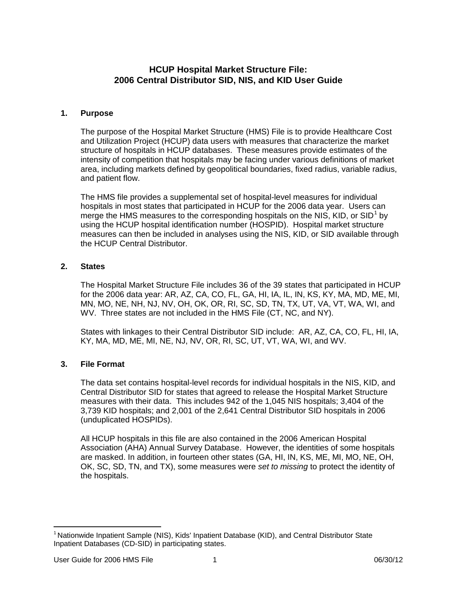# **HCUP Hospital Market Structure File: 2006 Central Distributor SID, NIS, and KID User Guide**

### **1. Purpose**

The purpose of the Hospital Market Structure (HMS) File is to provide Healthcare Cost and Utilization Project (HCUP) data users with measures that characterize the market structure of hospitals in HCUP databases. These measures provide estimates of the intensity of competition that hospitals may be facing under various definitions of market area, including markets defined by geopolitical boundaries, fixed radius, variable radius, and patient flow.

The HMS file provides a supplemental set of hospital-level measures for individual hospitals in most states that participated in HCUP for the 2006 data year. Users can merge the HMS measures to the corresponding hospitals on the NIS, KID, or SID<sup>[1](#page-0-0)</sup> by using the HCUP hospital identification number (HOSPID). Hospital market structure measures can then be included in analyses using the NIS, KID, or SID available through the HCUP Central Distributor.

## **2. States**

The Hospital Market Structure File includes 36 of the 39 states that participated in HCUP for the 2006 data year: AR, AZ, CA, CO, FL, GA, HI, IA, IL, IN, KS, KY, MA, MD, ME, MI, MN, MO, NE, NH, NJ, NV, OH, OK, OR, RI, SC, SD, TN, TX, UT, VA, VT, WA, WI, and WV. Three states are not included in the HMS File (CT, NC, and NY).

States with linkages to their Central Distributor SID include: AR, AZ, CA, CO, FL, HI, IA, KY, MA, MD, ME, MI, NE, NJ, NV, OR, RI, SC, UT, VT, WA, WI, and WV.

#### **3. File Format**

The data set contains hospital-level records for individual hospitals in the NIS, KID, and Central Distributor SID for states that agreed to release the Hospital Market Structure measures with their data. This includes 942 of the 1,045 NIS hospitals; 3,404 of the 3,739 KID hospitals; and 2,001 of the 2,641 Central Distributor SID hospitals in 2006 (unduplicated HOSPIDs).

All HCUP hospitals in this file are also contained in the 2006 American Hospital Association (AHA) Annual Survey Database. However, the identities of some hospitals are masked. In addition, in fourteen other states (GA, HI, IN, KS, ME, MI, MO, NE, OH, OK, SC, SD, TN, and TX), some measures were *set to missing* to protect the identity of the hospitals.

<span id="page-0-0"></span> $\overline{a}$ <sup>1</sup> Nationwide Inpatient Sample (NIS), Kids' Inpatient Database (KID), and Central Distributor State Inpatient Databases (CD-SID) in participating states.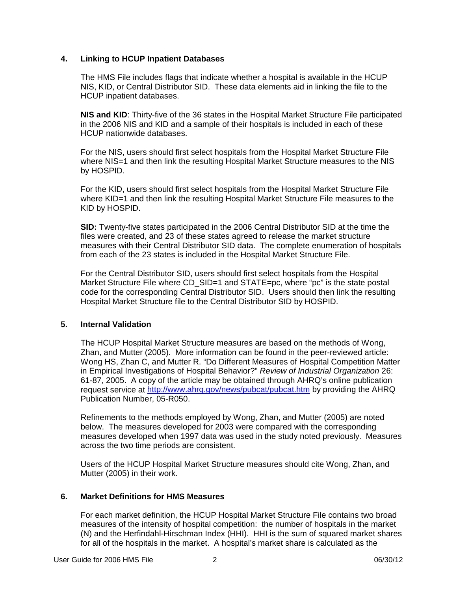#### **4. Linking to HCUP Inpatient Databases**

The HMS File includes flags that indicate whether a hospital is available in the HCUP NIS, KID, or Central Distributor SID. These data elements aid in linking the file to the HCUP inpatient databases.

**NIS and KID**: Thirty-five of the 36 states in the Hospital Market Structure File participated in the 2006 NIS and KID and a sample of their hospitals is included in each of these HCUP nationwide databases.

For the NIS, users should first select hospitals from the Hospital Market Structure File where NIS=1 and then link the resulting Hospital Market Structure measures to the NIS by HOSPID.

For the KID, users should first select hospitals from the Hospital Market Structure File where KID=1 and then link the resulting Hospital Market Structure File measures to the KID by HOSPID.

**SID:** Twenty-five states participated in the 2006 Central Distributor SID at the time the files were created, and 23 of these states agreed to release the market structure measures with their Central Distributor SID data. The complete enumeration of hospitals from each of the 23 states is included in the Hospital Market Structure File.

For the Central Distributor SID, users should first select hospitals from the Hospital Market Structure File where CD\_SID=1 and STATE=pc, where "pc" is the state postal code for the corresponding Central Distributor SID. Users should then link the resulting Hospital Market Structure file to the Central Distributor SID by HOSPID.

#### **5. Internal Validation**

The HCUP Hospital Market Structure measures are based on the methods of Wong, Zhan, and Mutter (2005). More information can be found in the peer-reviewed article: Wong HS, Zhan C, and Mutter R. "Do Different Measures of Hospital Competition Matter in Empirical Investigations of Hospital Behavior?" *Review of Industrial Organization* 26: 61-87, 2005. A copy of the article may be obtained through AHRQ's online publication request service at<http://www.ahrq.gov/news/pubcat/pubcat.htm> by providing the AHRQ Publication Number, 05-R050.

Refinements to the methods employed by Wong, Zhan, and Mutter (2005) are noted below. The measures developed for 2003 were compared with the corresponding measures developed when 1997 data was used in the study noted previously. Measures across the two time periods are consistent.

Users of the HCUP Hospital Market Structure measures should cite Wong, Zhan, and Mutter (2005) in their work.

#### **6. Market Definitions for HMS Measures**

For each market definition, the HCUP Hospital Market Structure File contains two broad measures of the intensity of hospital competition: the number of hospitals in the market (N) and the Herfindahl-Hirschman Index (HHI). HHI is the sum of squared market shares for all of the hospitals in the market. A hospital's market share is calculated as the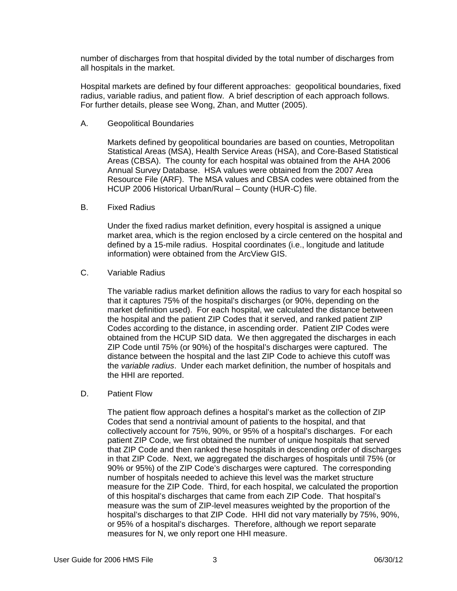number of discharges from that hospital divided by the total number of discharges from all hospitals in the market.

Hospital markets are defined by four different approaches: geopolitical boundaries, fixed radius, variable radius, and patient flow. A brief description of each approach follows. For further details, please see Wong, Zhan, and Mutter (2005).

A. Geopolitical Boundaries

Markets defined by geopolitical boundaries are based on counties, Metropolitan Statistical Areas (MSA), Health Service Areas (HSA), and Core-Based Statistical Areas (CBSA). The county for each hospital was obtained from the AHA 2006 Annual Survey Database. HSA values were obtained from the 2007 Area Resource File (ARF). The MSA values and CBSA codes were obtained from the HCUP 2006 Historical Urban/Rural – County (HUR-C) file.

B. Fixed Radius

Under the fixed radius market definition, every hospital is assigned a unique market area, which is the region enclosed by a circle centered on the hospital and defined by a 15-mile radius. Hospital coordinates (i.e., longitude and latitude information) were obtained from the ArcView GIS.

C. Variable Radius

The variable radius market definition allows the radius to vary for each hospital so that it captures 75% of the hospital's discharges (or 90%, depending on the market definition used). For each hospital, we calculated the distance between the hospital and the patient ZIP Codes that it served, and ranked patient ZIP Codes according to the distance, in ascending order. Patient ZIP Codes were obtained from the HCUP SID data. We then aggregated the discharges in each ZIP Code until 75% (or 90%) of the hospital's discharges were captured. The distance between the hospital and the last ZIP Code to achieve this cutoff was the *variable radius*. Under each market definition, the number of hospitals and the HHI are reported.

D. Patient Flow

The patient flow approach defines a hospital's market as the collection of ZIP Codes that send a nontrivial amount of patients to the hospital, and that collectively account for 75%, 90%, or 95% of a hospital's discharges. For each patient ZIP Code, we first obtained the number of unique hospitals that served that ZIP Code and then ranked these hospitals in descending order of discharges in that ZIP Code. Next, we aggregated the discharges of hospitals until 75% (or 90% or 95%) of the ZIP Code's discharges were captured. The corresponding number of hospitals needed to achieve this level was the market structure measure for the ZIP Code. Third, for each hospital, we calculated the proportion of this hospital's discharges that came from each ZIP Code. That hospital's measure was the sum of ZIP-level measures weighted by the proportion of the hospital's discharges to that ZIP Code. HHI did not vary materially by 75%, 90%, or 95% of a hospital's discharges. Therefore, although we report separate measures for N, we only report one HHI measure.